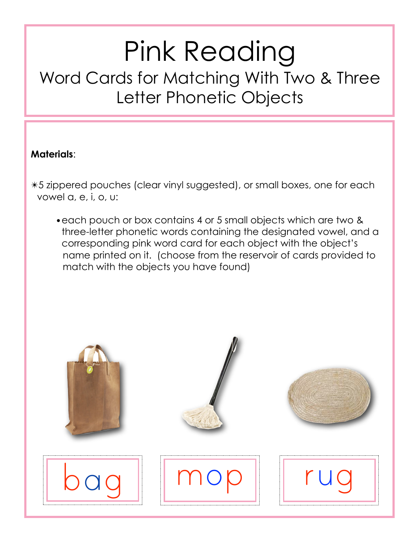## Pink Reading Word Cards for Matching With Two & Three Letter Phonetic Objects

## **Materials**:

✴5 zippered pouches (clear vinyl suggested), or small boxes, one for each vowel a, e, i, o, u:

•each pouch or box contains 4 or 5 small objects which are two & three-letter phonetic words containing the designated vowel, and a corresponding pink word card for each object with the object's name printed on it. (choose from the reservoir of cards provided to match with the objects you have found)

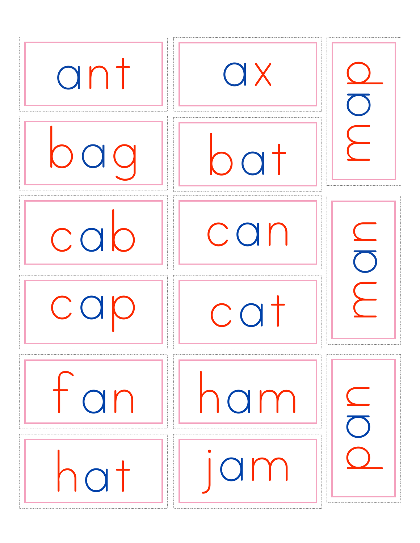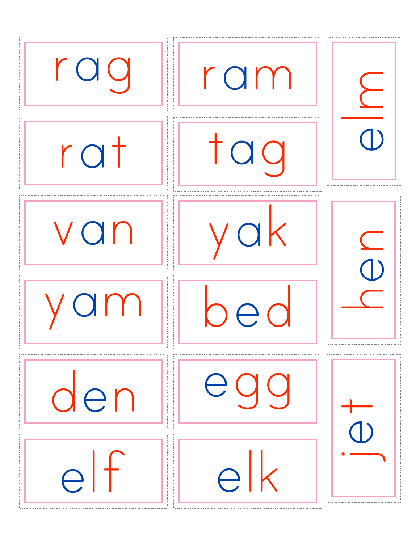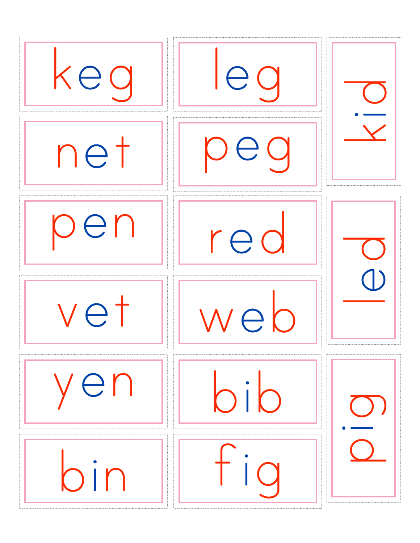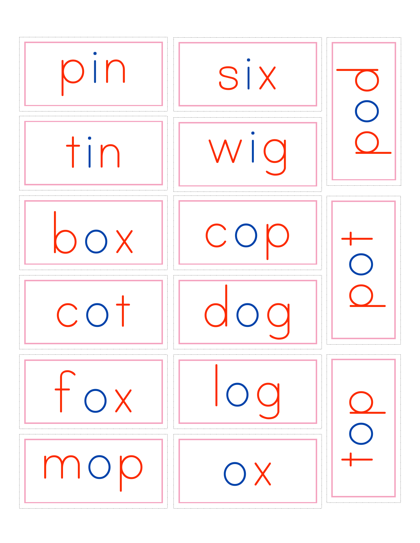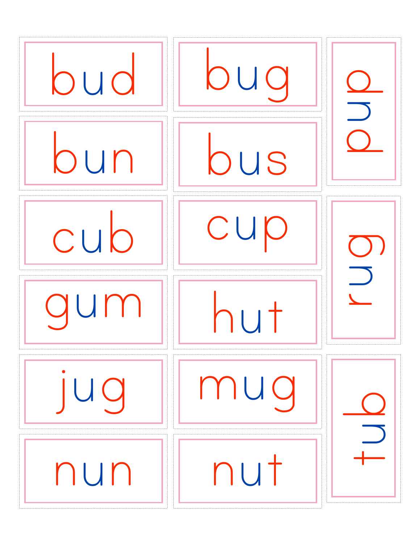| bud | DUO | $\overline{\phantom{a}}$ |
|-----|-----|--------------------------|
| bun | bus |                          |
| cub | CUP |                          |
| qum | hut |                          |
| UO  | mug |                          |
| nun | nut |                          |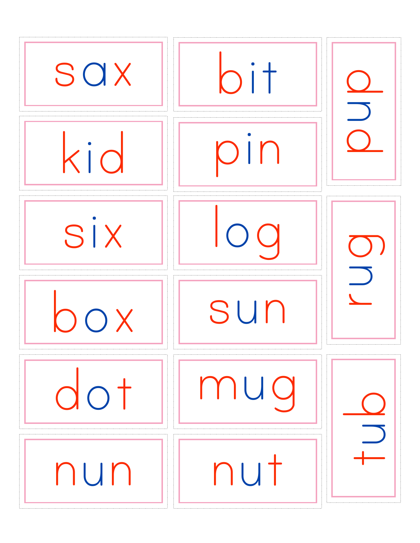